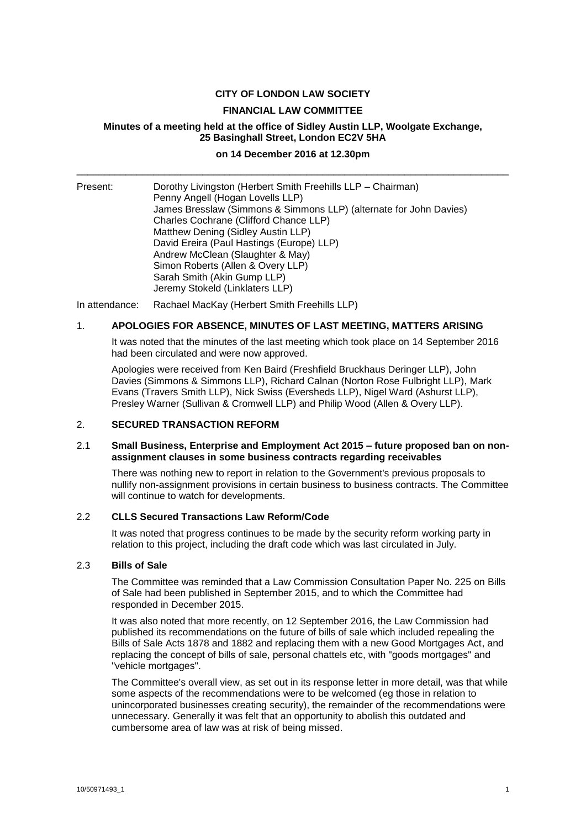## **CITY OF LONDON LAW SOCIETY**

#### **FINANCIAL LAW COMMITTEE**

## **Minutes of a meeting held at the office of Sidley Austin LLP, Woolgate Exchange, 25 Basinghall Street, London EC2V 5HA**

# **on 14 December 2016 at 12.30pm** \_\_\_\_\_\_\_\_\_\_\_\_\_\_\_\_\_\_\_\_\_\_\_\_\_\_\_\_\_\_\_\_\_\_\_\_\_\_\_\_\_\_\_\_\_\_\_\_\_\_\_\_\_\_\_\_\_\_\_\_\_\_\_\_\_\_\_\_\_\_\_\_\_\_\_\_\_\_\_

| Present: | Dorothy Livingston (Herbert Smith Freehills LLP - Chairman)<br>Penny Angell (Hogan Lovells LLP) |
|----------|-------------------------------------------------------------------------------------------------|
|          | James Bresslaw (Simmons & Simmons LLP) (alternate for John Davies)                              |
|          | Charles Cochrane (Clifford Chance LLP)                                                          |
|          | Matthew Dening (Sidley Austin LLP)                                                              |
|          | David Ereira (Paul Hastings (Europe) LLP)                                                       |
|          | Andrew McClean (Slaughter & May)                                                                |
|          | Simon Roberts (Allen & Overy LLP)                                                               |
|          | Sarah Smith (Akin Gump LLP)                                                                     |
|          | Jeremy Stokeld (Linklaters LLP)                                                                 |

In attendance: Rachael MacKay (Herbert Smith Freehills LLP)

#### 1. **APOLOGIES FOR ABSENCE, MINUTES OF LAST MEETING, MATTERS ARISING**

It was noted that the minutes of the last meeting which took place on 14 September 2016 had been circulated and were now approved.

Apologies were received from Ken Baird (Freshfield Bruckhaus Deringer LLP), John Davies (Simmons & Simmons LLP), Richard Calnan (Norton Rose Fulbright LLP), Mark Evans (Travers Smith LLP), Nick Swiss (Eversheds LLP), Nigel Ward (Ashurst LLP), Presley Warner (Sullivan & Cromwell LLP) and Philip Wood (Allen & Overy LLP).

#### 2. **SECURED TRANSACTION REFORM**

#### 2.1 **Small Business, Enterprise and Employment Act 2015 – future proposed ban on nonassignment clauses in some business contracts regarding receivables**

There was nothing new to report in relation to the Government's previous proposals to nullify non-assignment provisions in certain business to business contracts. The Committee will continue to watch for developments.

#### 2.2 **CLLS Secured Transactions Law Reform/Code**

It was noted that progress continues to be made by the security reform working party in relation to this project, including the draft code which was last circulated in July.

#### 2.3 **Bills of Sale**

The Committee was reminded that a Law Commission Consultation Paper No. 225 on Bills of Sale had been published in September 2015, and to which the Committee had responded in December 2015.

It was also noted that more recently, on 12 September 2016, the Law Commission had published its recommendations on the future of bills of sale which included repealing the Bills of Sale Acts 1878 and 1882 and replacing them with a new Good Mortgages Act, and replacing the concept of bills of sale, personal chattels etc, with "goods mortgages" and "vehicle mortgages".

The Committee's overall view, as set out in its response letter in more detail, was that while some aspects of the recommendations were to be welcomed (eg those in relation to unincorporated businesses creating security), the remainder of the recommendations were unnecessary. Generally it was felt that an opportunity to abolish this outdated and cumbersome area of law was at risk of being missed.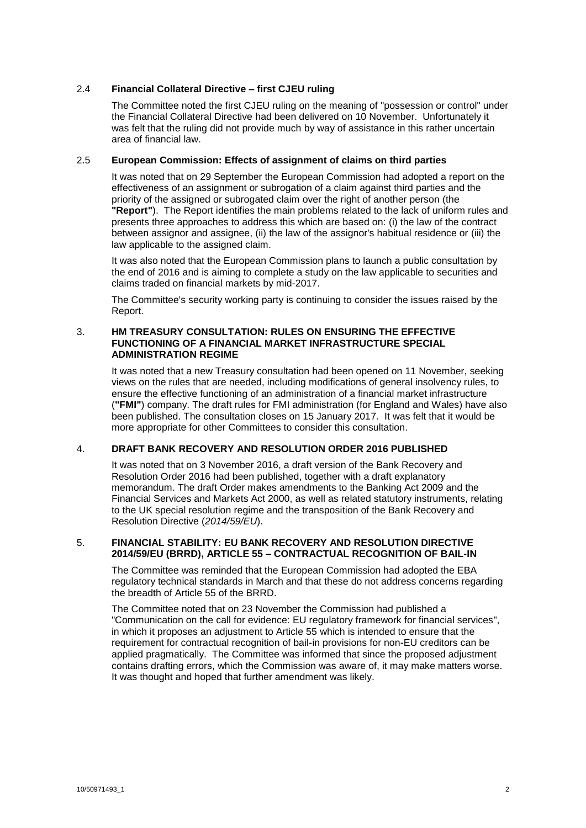## 2.4 **Financial Collateral Directive – first CJEU ruling**

The Committee noted the first CJEU ruling on the meaning of "possession or control" under the Financial Collateral Directive had been delivered on 10 November. Unfortunately it was felt that the ruling did not provide much by way of assistance in this rather uncertain area of financial law.

## 2.5 **European Commission: Effects of assignment of claims on third parties**

It was noted that on 29 September the European Commission had adopted a report on the effectiveness of an assignment or subrogation of a claim against third parties and the priority of the assigned or subrogated claim over the right of another person (the **"Report"**). The Report identifies the main problems related to the lack of uniform rules and presents three approaches to address this which are based on: (i) the law of the contract between assignor and assignee, (ii) the law of the assignor's habitual residence or (iii) the law applicable to the assigned claim.

It was also noted that the European Commission plans to launch a public consultation by the end of 2016 and is aiming to complete a study on the law applicable to securities and claims traded on financial markets by mid-2017.

The Committee's security working party is continuing to consider the issues raised by the Report.

## 3. **HM TREASURY CONSULTATION: RULES ON ENSURING THE EFFECTIVE FUNCTIONING OF A FINANCIAL MARKET INFRASTRUCTURE SPECIAL ADMINISTRATION REGIME**

It was noted that a new Treasury consultation had been opened on 11 November, seeking views on the rules that are needed, including modifications of general insolvency rules, to ensure the effective functioning of an administration of a financial market infrastructure (**"FMI"**) company. The draft rules for FMI administration (for England and Wales) have also been published. The consultation closes on 15 January 2017. It was felt that it would be more appropriate for other Committees to consider this consultation.

# 4. **DRAFT BANK RECOVERY AND RESOLUTION ORDER 2016 PUBLISHED**

It was noted that on 3 November 2016, a draft version of the Bank Recovery and Resolution Order 2016 had been published, together with a draft explanatory memorandum. The draft Order makes amendments to the Banking Act 2009 and the Financial Services and Markets Act 2000, as well as related statutory instruments, relating to the UK special resolution regime and the transposition of the Bank Recovery and Resolution Directive (*2014/59/EU*).

## 5. **FINANCIAL STABILITY: EU BANK RECOVERY AND RESOLUTION DIRECTIVE 2014/59/EU (BRRD), ARTICLE 55 – CONTRACTUAL RECOGNITION OF BAIL-IN**

The Committee was reminded that the European Commission had adopted the EBA regulatory technical standards in March and that these do not address concerns regarding the breadth of Article 55 of the BRRD.

The Committee noted that on 23 November the Commission had published a "Communication on the call for evidence: EU regulatory framework for financial services", in which it proposes an adjustment to Article 55 which is intended to ensure that the requirement for contractual recognition of bail-in provisions for non-EU creditors can be applied pragmatically. The Committee was informed that since the proposed adjustment contains drafting errors, which the Commission was aware of, it may make matters worse. It was thought and hoped that further amendment was likely.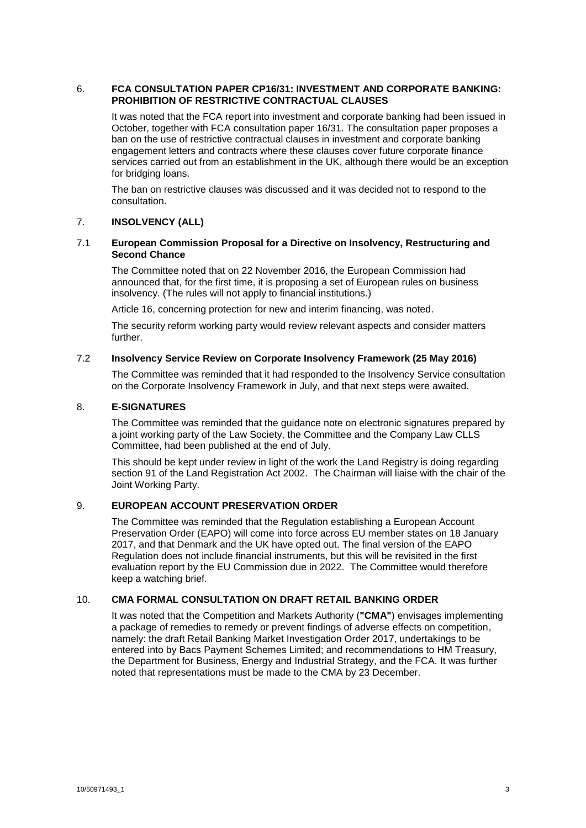#### 6. **FCA CONSULTATION PAPER CP16/31: INVESTMENT AND CORPORATE BANKING: PROHIBITION OF RESTRICTIVE CONTRACTUAL CLAUSES**

It was noted that the FCA report into investment and corporate banking had been issued in October, together with FCA consultation paper 16/31. The consultation paper proposes a ban on the use of restrictive contractual clauses in investment and corporate banking engagement letters and contracts where these clauses cover future corporate finance services carried out from an establishment in the UK, although there would be an exception for bridging loans.

The ban on restrictive clauses was discussed and it was decided not to respond to the consultation.

## 7. **INSOLVENCY (ALL)**

### 7.1 **European Commission Proposal for a Directive on Insolvency, Restructuring and Second Chance**

The Committee noted that on 22 November 2016, the European Commission had announced that, for the first time, it is proposing a set of European rules on business insolvency. (The rules will not apply to financial institutions.)

Article 16, concerning protection for new and interim financing, was noted.

The security reform working party would review relevant aspects and consider matters further.

#### 7.2 **Insolvency Service Review on Corporate Insolvency Framework (25 May 2016)**

The Committee was reminded that it had responded to the Insolvency Service consultation on the Corporate Insolvency Framework in July, and that next steps were awaited.

## 8. **E-SIGNATURES**

The Committee was reminded that the guidance note on electronic signatures prepared by a joint working party of the Law Society, the Committee and the Company Law CLLS Committee, had been published at the end of July.

This should be kept under review in light of the work the Land Registry is doing regarding section 91 of the Land Registration Act 2002. The Chairman will liaise with the chair of the Joint Working Party.

# 9. **EUROPEAN ACCOUNT PRESERVATION ORDER**

The Committee was reminded that the Regulation establishing a European Account Preservation Order (EAPO) will come into force across EU member states on 18 January 2017, and that Denmark and the UK have opted out. The final version of the EAPO Regulation does not include financial instruments, but this will be revisited in the first evaluation report by the EU Commission due in 2022. The Committee would therefore keep a watching brief.

# 10. **CMA FORMAL CONSULTATION ON DRAFT RETAIL BANKING ORDER**

It was noted that the Competition and Markets Authority (**"CMA"**) envisages implementing a package of remedies to remedy or prevent findings of adverse effects on competition, namely: the draft Retail Banking Market Investigation Order 2017, undertakings to be entered into by Bacs Payment Schemes Limited; and recommendations to HM Treasury, the Department for Business, Energy and Industrial Strategy, and the FCA. It was further noted that representations must be made to the CMA by 23 December.